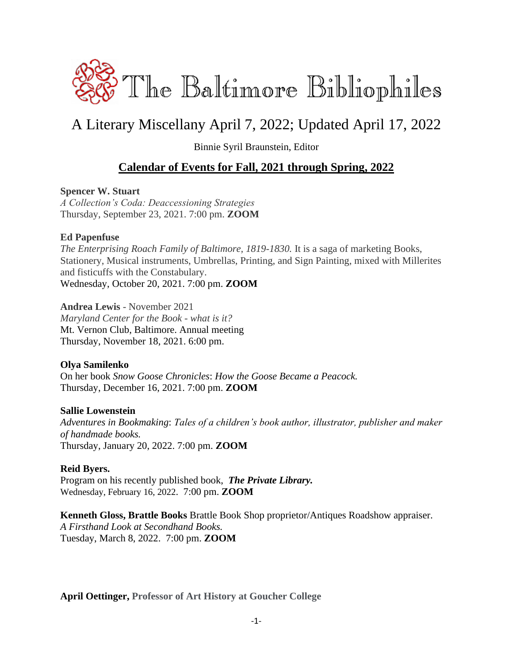

# A Literary Miscellany April 7, 2022; Updated April 17, 2022

Binnie Syril Braunstein, Editor

## **Calendar of Events for Fall, 2021 through Spring, 2022**

### **Spencer W. Stuart**

*A Collection's Coda: Deaccessioning Strategies* Thursday, September 23, 2021. 7:00 pm. **ZOOM**

#### **Ed Papenfuse**

*The Enterprising Roach Family of Baltimore, 1819-1830.* It is a saga of marketing Books, Stationery, Musical instruments, Umbrellas, Printing, and Sign Painting, mixed with Millerites and fisticuffs with the Constabulary. Wednesday, October 20, 2021. 7:00 pm. **ZOOM**

**Andrea Lewis** - November 2021 *Maryland Center for the Book - what is it?* Mt. Vernon Club, Baltimore. Annual meeting Thursday, November 18, 2021. 6:00 pm.

### **Olya Samilenko**

On her book *Snow Goose Chronicles*: *How the Goose Became a Peacock.* Thursday, December 16, 2021. 7:00 pm. **ZOOM**

#### **Sallie Lowenstein**

*Adventures in Bookmaking*: *Tales of a children's book author, illustrator, publisher and maker of handmade books.* Thursday, January 20, 2022. 7:00 pm. **ZOOM**

### **Reid Byers.**

Program on his recently published book,*The Private Library.* Wednesday, February 16, 2022. 7:00 pm. **ZOOM**

**Kenneth Gloss, Brattle Books** Brattle Book Shop proprietor/Antiques Roadshow appraiser. *A Firsthand Look at Secondhand Books.* Tuesday, March 8, 2022. 7:00 pm. **ZOOM**

**April Oettinger, Professor of Art History at Goucher College**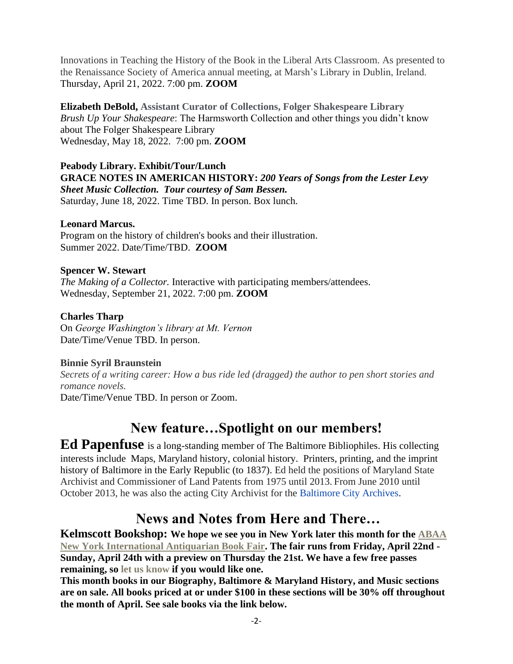Innovations in Teaching the History of the Book in the Liberal Arts Classroom. As presented to the Renaissance Society of America annual meeting, at Marsh's Library in Dublin, Ireland. Thursday, April 21, 2022. 7:00 pm. **ZOOM**

**Elizabeth DeBold, Assistant Curator of Collections, Folger Shakespeare Library** *Brush Up Your Shakespeare*: The Harmsworth Collection and other things you didn't know about The Folger Shakespeare Library Wednesday, May 18, 2022. 7:00 pm. **ZOOM**

# **Peabody Library. Exhibit/Tour/Lunch GRACE NOTES IN AMERICAN HISTORY:** *200 Years of Songs from the Lester Levy Sheet Music Collection. Tour courtesy of Sam Bessen.*

Saturday, June 18, 2022. Time TBD. In person. Box lunch.

#### **Leonard Marcus.**

Program on the history of children's books and their illustration. Summer 2022. Date/Time/TBD. **ZOOM**

### **Spencer W. Stewart**

*The Making of a Collector.* Interactive with participating members/attendees. Wednesday, September 21, 2022. 7:00 pm. **ZOOM**

### **Charles Tharp**

On *George Washington's library at Mt. Vernon* Date/Time/Venue TBD. In person.

## **Binnie Syril Braunstein**

*Secrets of a writing career: How a bus ride led (dragged) the author to pen short stories and romance novels.* Date/Time/Venue TBD. In person or Zoom.

# **New feature…Spotlight on our members!**

**Ed Papenfuse** is a long-standing member of The Baltimore Bibliophiles. His collecting interests include Maps, Maryland history, colonial history. Printers, printing, and the imprint history of Baltimore in the Early Republic (to 1837). Ed held the positions of Maryland State Archivist and Commissioner of Land Patents from 1975 until 2013. From June 2010 until October 2013, he was also the acting City Archivist for the [Baltimore City Archives.](https://en.wikipedia.org/wiki/Baltimore_City_Archives)

# **News and Notes from Here and There…**

**Kelmscott Bookshop: We hope we see you in New York later this month for the [ABAA](https://www.nyantiquarianbookfair.com/?utm_source=constantcontact&utm_medium=email&utm_campaign=newsletter)  [New York International Antiquarian Book Fair.](https://www.nyantiquarianbookfair.com/?utm_source=constantcontact&utm_medium=email&utm_campaign=newsletter) The fair runs from Friday, April 22nd - Sunday, April 24th with a preview on Thursday the 21st. We have a few free passes remaining, so let us know if you would like one.**

**This month books in our Biography, Baltimore & Maryland History, and Music sections are on sale. All books priced at or under \$100 in these sections will be 30% off throughout the month of April. See sale books via the link below.**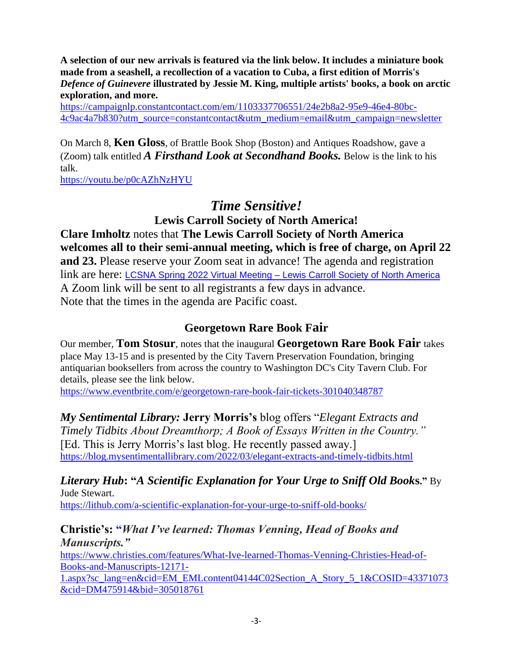**A selection of our new arrivals is featured via the link below. It includes a miniature book made from a seashell, a recollection of a vacation to Cuba, a first edition of Morris's**  *Defence of Guinevere* **illustrated by Jessie M. King, multiple artists' books, a book on arctic exploration, and more.**

[https://campaignlp.constantcontact.com/em/1103337706551/24e2b8a2-95e9-46e4-80bc-](https://campaignlp.constantcontact.com/em/1103337706551/24e2b8a2-95e9-46e4-80bc-4c9ac4a7b830?utm_source=constantcontact&utm_medium=email&utm_campaign=newsletter)[4c9ac4a7b830?utm\\_source=constantcontact&utm\\_medium=email&utm\\_campaign=newsletter](https://campaignlp.constantcontact.com/em/1103337706551/24e2b8a2-95e9-46e4-80bc-4c9ac4a7b830?utm_source=constantcontact&utm_medium=email&utm_campaign=newsletter)

On March 8, **Ken Gloss**, of Brattle Book Shop (Boston) and Antiques Roadshow, gave a (Zoom) talk entitled *A Firsthand Look at Secondhand Books.* Below is the link to his talk.

<https://youtu.be/p0cAZhNzHYU>

# *Time Sensitive!*

**Lewis Carroll Society of North America! Clare Imholtz** notes that **The Lewis Carroll Society of North America welcomes all to their semi-annual meeting, which is free of charge, on April 22 and 23.** Please reserve your Zoom seat in advance! The agenda and registration link are here: LCSNA Spring 2022 Virtual Meeting – [Lewis Carroll Society of North America](https://www.lewiscarroll.org/event/lcsna-spring-2022-virtual-meeting/) A Zoom link will be sent to all registrants a few days in advance. Note that the times in the agenda are Pacific coast.

# **Georgetown Rare Book Fair**

Our member, **Tom Stosur**, notes that the inaugural **Georgetown Rare Book Fair** takes place May 13-15 and is presented by the City Tavern Preservation Foundation, bringing antiquarian booksellers from across the country to Washington DC's City Tavern Club. For details, please see the link below.

<https://www.eventbrite.com/e/georgetown-rare-book-fair-tickets-301040348787>

*My Sentimental Library:* **Jerry Morris's** blog offers "*Elegant Extracts and Timely Tidbits About Dreamthorp; A Book of Essays Written in the Country."* [Ed. This is Jerry Morris's last blog. He recently passed away.] <https://blog.mysentimentallibrary.com/2022/03/elegant-extracts-and-timely-tidbits.html>

# *Literary Hub***: "***A Scientific Explanation for Your Urge to Sniff Old Book***s."** By Jude Stewart.

<https://lithub.com/a-scientific-explanation-for-your-urge-to-sniff-old-books/>

## **Christie's: "***What I've learned: Thomas Venning, Head of Books and Manuscripts."*

[https://www.christies.com/features/What-Ive-learned-Thomas-Venning-Christies-Head-of-](https://www.christies.com/features/What-Ive-learned-Thomas-Venning-Christies-Head-of-Books-and-Manuscripts-12171-1.aspx?sc_lang=en&cid=EM_EMLcontent04144C02Section_A_Story_5_1&COSID=43371073&cid=DM475914&bid=305018761)[Books-and-Manuscripts-12171-](https://www.christies.com/features/What-Ive-learned-Thomas-Venning-Christies-Head-of-Books-and-Manuscripts-12171-1.aspx?sc_lang=en&cid=EM_EMLcontent04144C02Section_A_Story_5_1&COSID=43371073&cid=DM475914&bid=305018761)

[1.aspx?sc\\_lang=en&cid=EM\\_EMLcontent04144C02Section\\_A\\_Story\\_5\\_1&COSID=43371073](https://www.christies.com/features/What-Ive-learned-Thomas-Venning-Christies-Head-of-Books-and-Manuscripts-12171-1.aspx?sc_lang=en&cid=EM_EMLcontent04144C02Section_A_Story_5_1&COSID=43371073&cid=DM475914&bid=305018761) [&cid=DM475914&bid=305018761](https://www.christies.com/features/What-Ive-learned-Thomas-Venning-Christies-Head-of-Books-and-Manuscripts-12171-1.aspx?sc_lang=en&cid=EM_EMLcontent04144C02Section_A_Story_5_1&COSID=43371073&cid=DM475914&bid=305018761)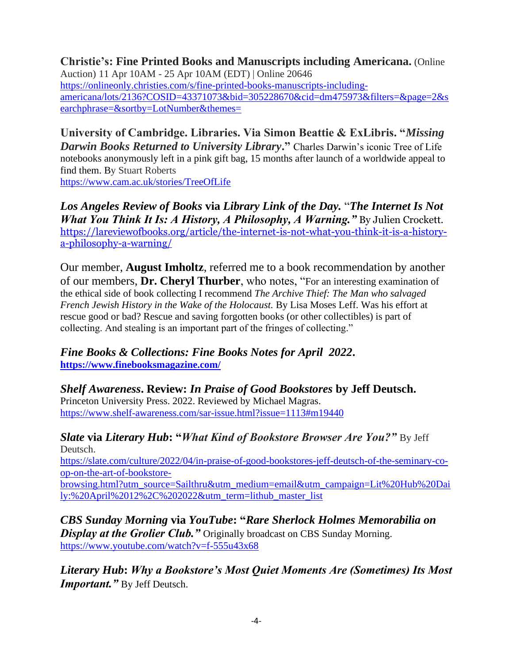**Christie's: Fine Printed Books and Manuscripts including Americana.** (Online Auction) 11 Apr 10AM - 25 Apr 10AM (EDT) | Online 20646 [https://onlineonly.christies.com/s/fine-printed-books-manuscripts-including](https://onlineonly.christies.com/s/fine-printed-books-manuscripts-including-americana/lots/2136?COSID=43371073&bid=305228670&cid=dm475973&filters=&page=2&searchphrase=&sortby=LotNumber&themes=)[americana/lots/2136?COSID=43371073&bid=305228670&cid=dm475973&filters=&page=2&s](https://onlineonly.christies.com/s/fine-printed-books-manuscripts-including-americana/lots/2136?COSID=43371073&bid=305228670&cid=dm475973&filters=&page=2&searchphrase=&sortby=LotNumber&themes=) [earchphrase=&sortby=LotNumber&themes=](https://onlineonly.christies.com/s/fine-printed-books-manuscripts-including-americana/lots/2136?COSID=43371073&bid=305228670&cid=dm475973&filters=&page=2&searchphrase=&sortby=LotNumber&themes=)

**University of Cambridge. Libraries. Via Simon Beattie & ExLibris. "***Missing Darwin Books Returned to University Library***."** Charles Darwin's iconic Tree of Life notebooks anonymously left in a pink gift bag, 15 months after launch of a worldwide appeal to find them. By Stuart Roberts <https://www.cam.ac.uk/stories/TreeOfLife>

*Los Angeles Review of Books* **via** *Library Link of the Day.* "*The Internet Is Not What You Think It Is: A History, A Philosophy, A Warning."* By Julien Crockett. [https://lareviewofbooks.org/article/the-internet-is-not-what-you-think-it-is-a-history](https://lareviewofbooks.org/article/the-internet-is-not-what-you-think-it-is-a-history-a-philosophy-a-warning/)[a-philosophy-a-warning/](https://lareviewofbooks.org/article/the-internet-is-not-what-you-think-it-is-a-history-a-philosophy-a-warning/)

Our member, **August Imholtz**, referred me to a book recommendation by another of our members, **Dr. Cheryl Thurber**, who notes, "For an interesting examination of the ethical side of book collecting I recommend *The Archive Thief: The Man who salvaged French Jewish History in the Wake of the Holocaust.* By Lisa Moses Leff. Was his effort at rescue good or bad? Rescue and saving forgotten books (or other collectibles) is part of collecting. And stealing is an important part of the fringes of collecting."

*Fine Books & Collections: Fine Books Notes for April 2022***. <https://www.finebooksmagazine.com/>**

*Shelf Awareness***. Review:** *In Praise of Good Bookstores* **by Jeff Deutsch.**  Princeton University Press. 2022. Reviewed by Michael Magras. <https://www.shelf-awareness.com/sar-issue.html?issue=1113#m19440>

*Slate* **via** *Literary Hub***: "***What Kind of Bookstore Browser Are You?"* By Jeff Deutsch.

[https://slate.com/culture/2022/04/in-praise-of-good-bookstores-jeff-deutsch-of-the-seminary-co](https://slate.com/culture/2022/04/in-praise-of-good-bookstores-jeff-deutsch-of-the-seminary-co-op-on-the-art-of-bookstore-browsing.html?utm_source=Sailthru&utm_medium=email&utm_campaign=Lit%20Hub%20Daily:%20April%2012%2C%202022&utm_term=lithub_master_list)[op-on-the-art-of-bookstore-](https://slate.com/culture/2022/04/in-praise-of-good-bookstores-jeff-deutsch-of-the-seminary-co-op-on-the-art-of-bookstore-browsing.html?utm_source=Sailthru&utm_medium=email&utm_campaign=Lit%20Hub%20Daily:%20April%2012%2C%202022&utm_term=lithub_master_list)

[browsing.html?utm\\_source=Sailthru&utm\\_medium=email&utm\\_campaign=Lit%20Hub%20Dai](https://slate.com/culture/2022/04/in-praise-of-good-bookstores-jeff-deutsch-of-the-seminary-co-op-on-the-art-of-bookstore-browsing.html?utm_source=Sailthru&utm_medium=email&utm_campaign=Lit%20Hub%20Daily:%20April%2012%2C%202022&utm_term=lithub_master_list) [ly:%20April%2012%2C%202022&utm\\_term=lithub\\_master\\_list](https://slate.com/culture/2022/04/in-praise-of-good-bookstores-jeff-deutsch-of-the-seminary-co-op-on-the-art-of-bookstore-browsing.html?utm_source=Sailthru&utm_medium=email&utm_campaign=Lit%20Hub%20Daily:%20April%2012%2C%202022&utm_term=lithub_master_list)

*CBS Sunday Morning* **via** *YouTube***: "***Rare Sherlock Holmes Memorabilia on*  **Display at the Grolier Club."** Originally broadcast on CBS Sunday Morning. <https://www.youtube.com/watch?v=f-555u43x68>

*Literary Hub***:** *Why a Bookstore's Most Quiet Moments Are (Sometimes) Its Most Important.*" By Jeff Deutsch.